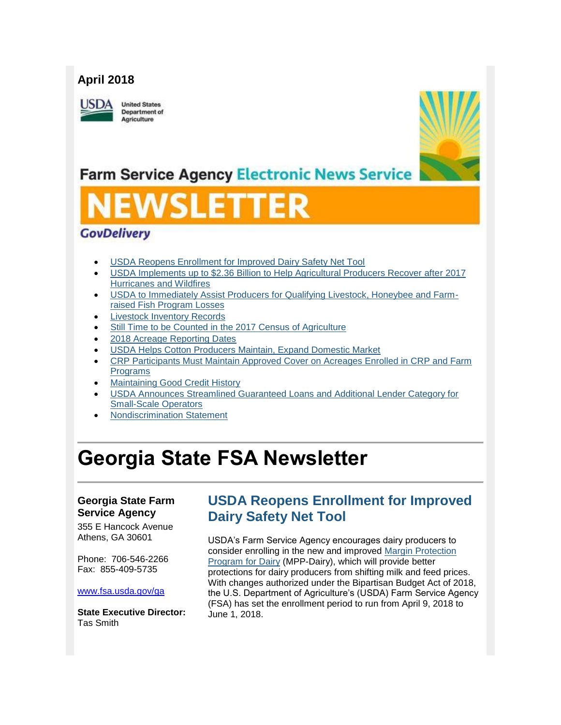## **April 2018**

USDA

**United States** Department of Agriculture



## **Farm Service Agency Electronic News Service**

# U 21 I

## **GovDelivery**

- [USDA Reopens Enrollment for Improved Dairy Safety Net Tool](#page-0-0)
- [USDA Implements up to \\$2.36 Billion to Help Agricultural Producers Recover after 2017](#page-2-0)  [Hurricanes and Wildfires](#page-2-0)
- [USDA to Immediately Assist Producers for Qualifying Livestock, Honeybee and Farm](#page-3-0)[raised Fish Program Losses](#page-3-0)
- [Livestock Inventory Records](#page-4-0)
- [Still Time to be Counted in the 2017 Census of Agriculture](#page-4-1)
- [2018 Acreage Reporting Dates](#page-5-0)
- [USDA Helps Cotton Producers Maintain, Expand Domestic Market](#page-5-1)
- [CRP Participants Must Maintain Approved Cover on Acreages Enrolled in CRP and Farm](#page-6-0)  [Programs](#page-6-0)
- [Maintaining Good Credit History](#page-7-0)
- [USDA Announces Streamlined Guaranteed Loans and Additional Lender Category for](#page-7-1)  [Small-Scale Operators](#page-7-1)
- [Nondiscrimination Statement](#page-8-0)

## **Georgia State FSA Newsletter**

### **Georgia State Farm Service Agency**

355 E Hancock Avenue Athens, GA 30601

Phone: 706-546-2266 Fax: 855-409-5735

#### [www.fsa.usda.gov/ga](http://www.fsa.usda.gov/ga)

**State Executive Director:** Tas Smith

## <span id="page-0-0"></span>**USDA Reopens Enrollment for Improved Dairy Safety Net Tool**

USDA's Farm Service Agency encourages dairy producers to consider enrolling in the new and improved [Margin Protection](http://www.fsa.usda.gov/dairy)  [Program for Dairy](http://www.fsa.usda.gov/dairy) (MPP-Dairy), which will provide better protections for dairy producers from shifting milk and feed prices. With changes authorized under the Bipartisan Budget Act of 2018, the U.S. Department of Agriculture's (USDA) Farm Service Agency (FSA) has set the enrollment period to run from April 9, 2018 to June 1, 2018.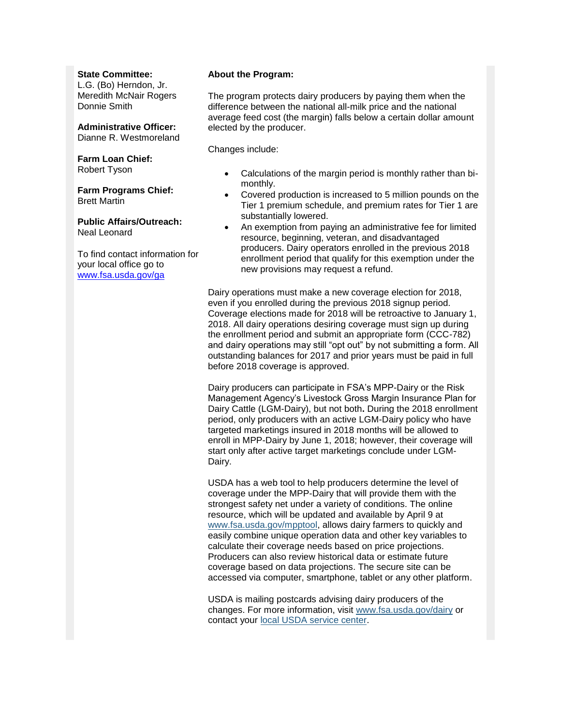#### **State Committee:**

L.G. (Bo) Herndon, Jr. Meredith McNair Rogers Donnie Smith

**Administrative Officer:** Dianne R. Westmoreland

#### **Farm Loan Chief:**

Robert Tyson

**Farm Programs Chief:** Brett Martin

#### **Public Affairs/Outreach:** Neal Leonard

To find contact information for your local office go to [www.fsa.usda.gov/ga](http://www.fsa.usda.gov/ga)

#### **About the Program:**

The program protects dairy producers by paying them when the difference between the national all-milk price and the national average feed cost (the margin) falls below a certain dollar amount elected by the producer.

Changes include:

- Calculations of the margin period is monthly rather than bimonthly.
- Covered production is increased to 5 million pounds on the Tier 1 premium schedule, and premium rates for Tier 1 are substantially lowered.
- An exemption from paying an administrative fee for limited resource, beginning, veteran, and disadvantaged producers. Dairy operators enrolled in the previous 2018 enrollment period that qualify for this exemption under the new provisions may request a refund.

Dairy operations must make a new coverage election for 2018, even if you enrolled during the previous 2018 signup period. Coverage elections made for 2018 will be retroactive to January 1, 2018. All dairy operations desiring coverage must sign up during the enrollment period and submit an appropriate form (CCC-782) and dairy operations may still "opt out" by not submitting a form. All outstanding balances for 2017 and prior years must be paid in full before 2018 coverage is approved.

Dairy producers can participate in FSA's MPP-Dairy or the Risk Management Agency's Livestock Gross Margin Insurance Plan for Dairy Cattle (LGM-Dairy), but not both**.** During the 2018 enrollment period, only producers with an active LGM-Dairy policy who have targeted marketings insured in 2018 months will be allowed to enroll in MPP-Dairy by June 1, 2018; however, their coverage will start only after active target marketings conclude under LGM-Dairy.

USDA has a web tool to help producers determine the level of coverage under the MPP-Dairy that will provide them with the strongest safety net under a variety of conditions. The online resource, which will be updated and available by April 9 at [www.fsa.usda.gov/mpptool,](http://www.fsa.usda.gov/mpptool) allows dairy farmers to quickly and easily combine unique operation data and other key variables to calculate their coverage needs based on price projections. Producers can also review historical data or estimate future coverage based on data projections. The secure site can be accessed via computer, smartphone, tablet or any other platform.

USDA is mailing postcards advising dairy producers of the changes. For more information, visit [www.fsa.usda.gov/dairy](http://www.fsa.usda.gov/dairy) or contact your [local USDA service center.](http://offices.usda.gov/)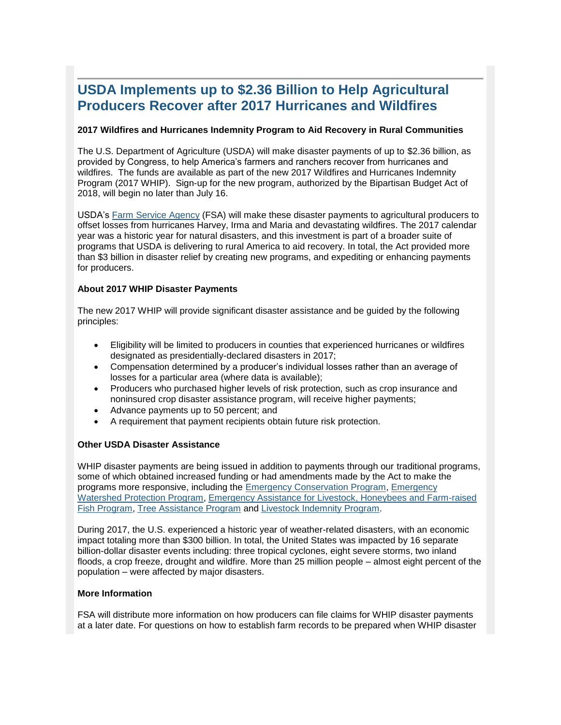## <span id="page-2-0"></span>**USDA Implements up to \$2.36 Billion to Help Agricultural Producers Recover after 2017 Hurricanes and Wildfires**

#### **2017 Wildfires and Hurricanes Indemnity Program to Aid Recovery in Rural Communities**

The U.S. Department of Agriculture (USDA) will make disaster payments of up to \$2.36 billion, as provided by Congress, to help America's farmers and ranchers recover from hurricanes and wildfires. The funds are available as part of the new 2017 Wildfires and Hurricanes Indemnity Program (2017 WHIP). Sign-up for the new program, authorized by the Bipartisan Budget Act of 2018, will begin no later than July 16.

USDA's [Farm Service Agency](https://www.fsa.usda.gov/programs-and-services/conservation-programs/emergency-conservation/index) (FSA) will make these disaster payments to agricultural producers to offset losses from hurricanes Harvey, Irma and Maria and devastating wildfires. The 2017 calendar year was a historic year for natural disasters, and this investment is part of a broader suite of programs that USDA is delivering to rural America to aid recovery. In total, the Act provided more than \$3 billion in disaster relief by creating new programs, and expediting or enhancing payments for producers.

#### **About 2017 WHIP Disaster Payments**

The new 2017 WHIP will provide significant disaster assistance and be guided by the following principles:

- Eligibility will be limited to producers in counties that experienced hurricanes or wildfires designated as presidentially-declared disasters in 2017;
- Compensation determined by a producer's individual losses rather than an average of losses for a particular area (where data is available);
- Producers who purchased higher levels of risk protection, such as crop insurance and noninsured crop disaster assistance program, will receive higher payments;
- Advance payments up to 50 percent; and
- A requirement that payment recipients obtain future risk protection.

#### **Other USDA Disaster Assistance**

WHIP disaster payments are being issued in addition to payments through our traditional programs, some of which obtained increased funding or had amendments made by the Act to make the programs more responsive, including the [Emergency Conservation Program,](https://www.fsa.usda.gov/programs-and-services/conservation-programs/emergency-conservation/index) [Emergency](https://www.nrcs.usda.gov/wps/portal/nrcs/main/national/programs/landscape/ewpp/)  [Watershed Protection Program,](https://www.nrcs.usda.gov/wps/portal/nrcs/main/national/programs/landscape/ewpp/) [Emergency Assistance for Livestock, Honeybees and Farm-raised](https://www.fsa.usda.gov/programs-and-services/disaster-assistance-program/emergency-assist-for-livestock-honey-bees-fish/index)  [Fish Program,](https://www.fsa.usda.gov/programs-and-services/disaster-assistance-program/emergency-assist-for-livestock-honey-bees-fish/index) [Tree Assistance Program](https://www.fsa.usda.gov/programs-and-services/disaster-assistance-program/tree-assistance-program/index) and [Livestock Indemnity Program.](https://www.fsa.usda.gov/programs-and-services/disaster-assistance-program/livestock-indemnity/index)

During 2017, the U.S. experienced a historic year of weather-related disasters, with an economic impact totaling more than \$300 billion. In total, the United States was impacted by 16 separate billion-dollar disaster events including: three tropical cyclones, eight severe storms, two inland floods, a crop freeze, drought and wildfire. More than 25 million people – almost eight percent of the population – were affected by major disasters.

#### **More Information**

FSA will distribute more information on how producers can file claims for WHIP disaster payments at a later date. For questions on how to establish farm records to be prepared when WHIP disaster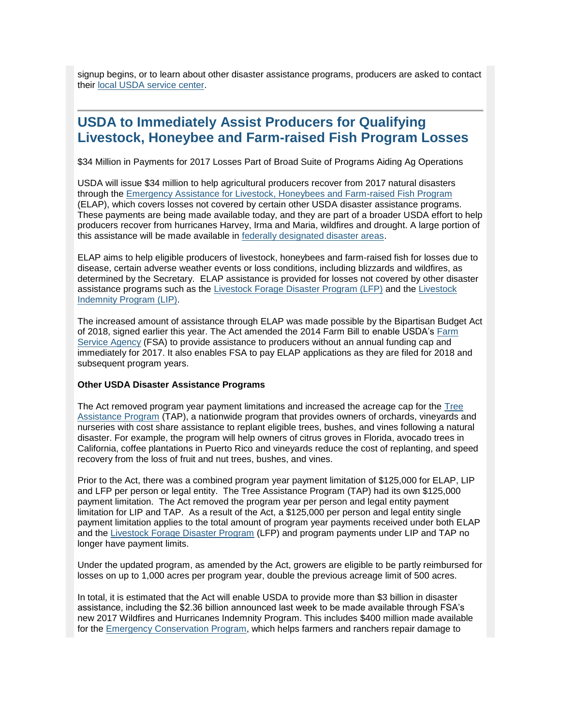signup begins, or to learn about other disaster assistance programs, producers are asked to contact their [local USDA service center.](https://www.farmers.gov/service-locator?field_counties_served_target_id=All)

## <span id="page-3-0"></span>**USDA to Immediately Assist Producers for Qualifying Livestock, Honeybee and Farm-raised Fish Program Losses**

\$34 Million in Payments for 2017 Losses Part of Broad Suite of Programs Aiding Ag Operations

USDA will issue \$34 million to help agricultural producers recover from 2017 natural disasters through the [Emergency Assistance for Livestock, Honeybees and Farm-raised Fish Program](https://www.fsa.usda.gov/programs-and-services/disaster-assistance-program/emergency-assist-for-livestock-honey-bees-fish/index) (ELAP), which covers losses not covered by certain other USDA disaster assistance programs. These payments are being made available today, and they are part of a broader USDA effort to help producers recover from hurricanes Harvey, Irma and Maria, wildfires and drought. A large portion of this assistance will be made available in [federally designated disaster areas.](https://www.fsa.usda.gov/Assets/USDA-FSA-Public/usdafiles/FactSheets/2017/emergency_disaster_designation_and_declaration_process_oct2017.pdf)

ELAP aims to help eligible producers of livestock, honeybees and farm-raised fish for losses due to disease, certain adverse weather events or loss conditions, including blizzards and wildfires, as determined by the Secretary. ELAP assistance is provided for losses not covered by other disaster assistance programs such as the [Livestock Forage Disaster Program \(LFP\)](https://www.fsa.usda.gov/programs-and-services/disaster-assistance-program/livestock-forage/index) and the [Livestock](https://www.fsa.usda.gov/programs-and-services/disaster-assistance-program/livestock-indemnity/index)  [Indemnity Program \(LIP\).](https://www.fsa.usda.gov/programs-and-services/disaster-assistance-program/livestock-indemnity/index)

The increased amount of assistance through ELAP was made possible by the Bipartisan Budget Act of 2018, signed earlier this year. The Act amended the 2014 Farm Bill to enable USDA's [Farm](https://www.fsa.usda.gov/programs-and-services/conservation-programs/emergency-conservation/index)  [Service Agency](https://www.fsa.usda.gov/programs-and-services/conservation-programs/emergency-conservation/index) (FSA) to provide assistance to producers without an annual funding cap and immediately for 2017. It also enables FSA to pay ELAP applications as they are filed for 2018 and subsequent program years.

#### **Other USDA Disaster Assistance Programs**

The Act removed program year payment limitations and increased the acreage cap for the [Tree](https://www.fsa.usda.gov/programs-and-services/disaster-assistance-program/tree-assistance-program/index)  [Assistance Program](https://www.fsa.usda.gov/programs-and-services/disaster-assistance-program/tree-assistance-program/index) (TAP), a nationwide program that provides owners of orchards, vineyards and nurseries with cost share assistance to replant eligible trees, bushes, and vines following a natural disaster. For example, the program will help owners of citrus groves in Florida, avocado trees in California, coffee plantations in Puerto Rico and vineyards reduce the cost of replanting, and speed recovery from the loss of fruit and nut trees, bushes, and vines.

Prior to the Act, there was a combined program year payment limitation of \$125,000 for ELAP, LIP and LFP per person or legal entity. The Tree Assistance Program (TAP) had its own \$125,000 payment limitation. The Act removed the program year per person and legal entity payment limitation for LIP and TAP. As a result of the Act, a \$125,000 per person and legal entity single payment limitation applies to the total amount of program year payments received under both ELAP and the [Livestock Forage Disaster Program](https://www.fsa.usda.gov/programs-and-services/disaster-assistance-program/livestock-forage/index) (LFP) and program payments under LIP and TAP no longer have payment limits.

Under the updated program, as amended by the Act, growers are eligible to be partly reimbursed for losses on up to 1,000 acres per program year, double the previous acreage limit of 500 acres.

In total, it is estimated that the Act will enable USDA to provide more than \$3 billion in disaster assistance, including the \$2.36 billion announced last week to be made available through FSA's new 2017 Wildfires and Hurricanes Indemnity Program. This includes \$400 million made available for the [Emergency Conservation Program,](https://www.fsa.usda.gov/programs-and-services/conservation-programs/emergency-conservation/index) which helps farmers and ranchers repair damage to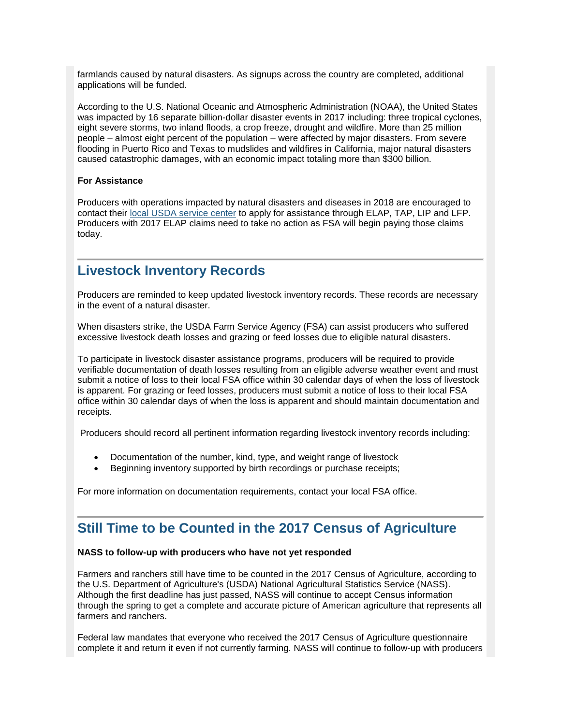farmlands caused by natural disasters. As signups across the country are completed, additional applications will be funded.

According to the U.S. National Oceanic and Atmospheric Administration (NOAA), the United States was impacted by 16 separate billion-dollar disaster events in 2017 including: three tropical cyclones, eight severe storms, two inland floods, a crop freeze, drought and wildfire. More than 25 million people – almost eight percent of the population – were affected by major disasters. From severe flooding in Puerto Rico and Texas to mudslides and wildfires in California, major natural disasters caused catastrophic damages, with an economic impact totaling more than \$300 billion.

#### **For Assistance**

Producers with operations impacted by natural disasters and diseases in 2018 are encouraged to contact their [local USDA service center](https://www.farmers.gov/service-locator?field_counties_served_target_id=All) to apply for assistance through ELAP, TAP, LIP and LFP. Producers with 2017 ELAP claims need to take no action as FSA will begin paying those claims today.

### <span id="page-4-0"></span>**Livestock Inventory Records**

Producers are reminded to keep updated livestock inventory records. These records are necessary in the event of a natural disaster.

When disasters strike, the USDA Farm Service Agency (FSA) can assist producers who suffered excessive livestock death losses and grazing or feed losses due to eligible natural disasters.

To participate in livestock disaster assistance programs, producers will be required to provide verifiable documentation of death losses resulting from an eligible adverse weather event and must submit a notice of loss to their local FSA office within 30 calendar days of when the loss of livestock is apparent. For grazing or feed losses, producers must submit a notice of loss to their local FSA office within 30 calendar days of when the loss is apparent and should maintain documentation and receipts.

Producers should record all pertinent information regarding livestock inventory records including:

- Documentation of the number, kind, type, and weight range of livestock
- Beginning inventory supported by birth recordings or purchase receipts;

For more information on documentation requirements, contact your local FSA office.

## <span id="page-4-1"></span>**Still Time to be Counted in the 2017 Census of Agriculture**

#### **NASS to follow-up with producers who have not yet responded**

Farmers and ranchers still have time to be counted in the 2017 Census of Agriculture, according to the U.S. Department of Agriculture's (USDA) National Agricultural Statistics Service (NASS). Although the first deadline has just passed, NASS will continue to accept Census information through the spring to get a complete and accurate picture of American agriculture that represents all farmers and ranchers.

Federal law mandates that everyone who received the 2017 Census of Agriculture questionnaire complete it and return it even if not currently farming. NASS will continue to follow-up with producers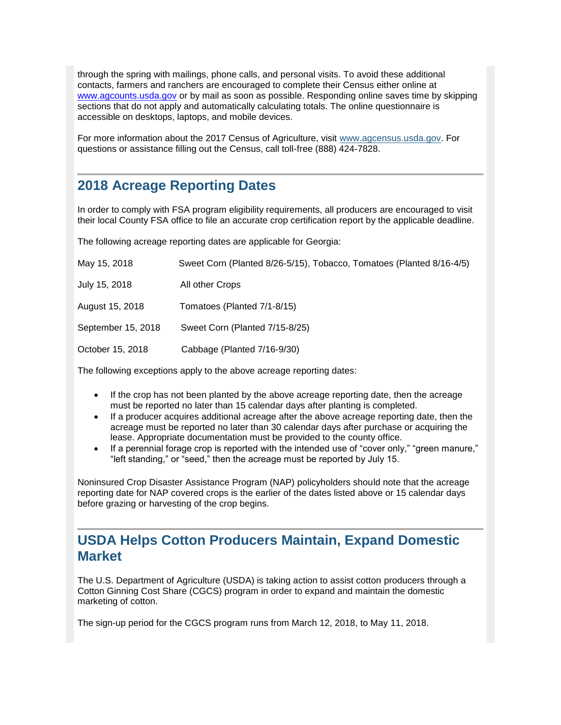through the spring with mailings, phone calls, and personal visits. To avoid these additional contacts, farmers and ranchers are encouraged to complete their Census either online at [www.agcounts.usda.gov](http://www.agcounts.usda.gov/) or by mail as soon as possible. Responding online saves time by skipping sections that do not apply and automatically calculating totals. The online questionnaire is accessible on desktops, laptops, and mobile devices.

For more information about the 2017 Census of Agriculture, visit [www.agcensus.usda.gov.](https://www.agcensus.usda.gov/) For questions or assistance filling out the Census, call toll-free (888) 424-7828.

## <span id="page-5-0"></span>**2018 Acreage Reporting Dates**

In order to comply with FSA program eligibility requirements, all producers are encouraged to visit their local County FSA office to file an accurate crop certification report by the applicable deadline.

The following acreage reporting dates are applicable for Georgia:

| May 15, 2018       | Sweet Corn (Planted 8/26-5/15), Tobacco, Tomatoes (Planted 8/16-4/5) |
|--------------------|----------------------------------------------------------------------|
| July 15, 2018      | All other Crops                                                      |
| August 15, 2018    | Tomatoes (Planted 7/1-8/15)                                          |
| September 15, 2018 | Sweet Corn (Planted 7/15-8/25)                                       |
| October 15, 2018   | Cabbage (Planted 7/16-9/30)                                          |
|                    |                                                                      |

The following exceptions apply to the above acreage reporting dates:

- If the crop has not been planted by the above acreage reporting date, then the acreage must be reported no later than 15 calendar days after planting is completed.
- If a producer acquires additional acreage after the above acreage reporting date, then the acreage must be reported no later than 30 calendar days after purchase or acquiring the lease. Appropriate documentation must be provided to the county office.
- If a perennial forage crop is reported with the intended use of "cover only," "green manure," "left standing," or "seed," then the acreage must be reported by July 15.

Noninsured Crop Disaster Assistance Program (NAP) policyholders should note that the acreage reporting date for NAP covered crops is the earlier of the dates listed above or 15 calendar days before grazing or harvesting of the crop begins.

## <span id="page-5-1"></span>**USDA Helps Cotton Producers Maintain, Expand Domestic Market**

The U.S. Department of Agriculture (USDA) is taking action to assist cotton producers through a Cotton Ginning Cost Share (CGCS) program in order to expand and maintain the domestic marketing of cotton.

The sign-up period for the CGCS program runs from March 12, 2018, to May 11, 2018.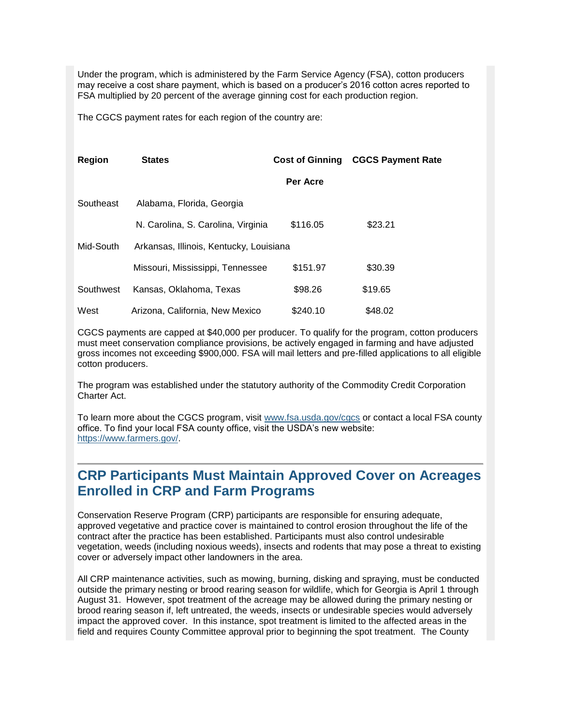Under the program, which is administered by the Farm Service Agency (FSA), cotton producers may receive a cost share payment, which is based on a producer's 2016 cotton acres reported to FSA multiplied by 20 percent of the average ginning cost for each production region.

The CGCS payment rates for each region of the country are:

| Region    | <b>States</b>                           | <b>Cost of Ginning</b> | <b>CGCS Payment Rate</b> |
|-----------|-----------------------------------------|------------------------|--------------------------|
|           |                                         | Per Acre               |                          |
| Southeast | Alabama, Florida, Georgia               |                        |                          |
|           | N. Carolina, S. Carolina, Virginia      | \$116.05               | \$23.21                  |
| Mid-South | Arkansas, Illinois, Kentucky, Louisiana |                        |                          |
|           | Missouri, Mississippi, Tennessee        | \$151.97               | \$30.39                  |
| Southwest | Kansas, Oklahoma, Texas                 | \$98.26                | \$19.65                  |
| West      | Arizona, California, New Mexico         | \$240.10               | \$48.02                  |

CGCS payments are capped at \$40,000 per producer. To qualify for the program, cotton producers must meet conservation compliance provisions, be actively engaged in farming and have adjusted gross incomes not exceeding \$900,000. FSA will mail letters and pre-filled applications to all eligible cotton producers.

The program was established under the statutory authority of the Commodity Credit Corporation Charter Act.

To learn more about the CGCS program, visit [www.fsa.usda.gov/cgcs](http://www.fsa.usda.gov/cgcs) or contact a local FSA county office. To find your local FSA county office, visit the USDA's new website: [https://www.farmers.gov/.](https://www.farmers.gov/)

## <span id="page-6-0"></span>**CRP Participants Must Maintain Approved Cover on Acreages Enrolled in CRP and Farm Programs**

Conservation Reserve Program (CRP) participants are responsible for ensuring adequate, approved vegetative and practice cover is maintained to control erosion throughout the life of the contract after the practice has been established. Participants must also control undesirable vegetation, weeds (including noxious weeds), insects and rodents that may pose a threat to existing cover or adversely impact other landowners in the area.

All CRP maintenance activities, such as mowing, burning, disking and spraying, must be conducted outside the primary nesting or brood rearing season for wildlife, which for Georgia is April 1 through August 31. However, spot treatment of the acreage may be allowed during the primary nesting or brood rearing season if, left untreated, the weeds, insects or undesirable species would adversely impact the approved cover. In this instance, spot treatment is limited to the affected areas in the field and requires County Committee approval prior to beginning the spot treatment. The County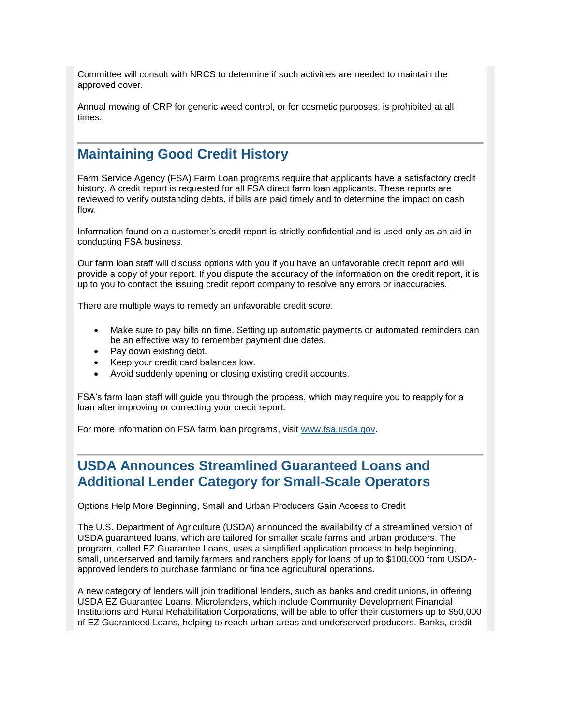Committee will consult with NRCS to determine if such activities are needed to maintain the approved cover.

Annual mowing of CRP for generic weed control, or for cosmetic purposes, is prohibited at all times.

## <span id="page-7-0"></span>**Maintaining Good Credit History**

Farm Service Agency (FSA) Farm Loan programs require that applicants have a satisfactory credit history. A credit report is requested for all FSA direct farm loan applicants. These reports are reviewed to verify outstanding debts, if bills are paid timely and to determine the impact on cash flow.

Information found on a customer's credit report is strictly confidential and is used only as an aid in conducting FSA business.

Our farm loan staff will discuss options with you if you have an unfavorable credit report and will provide a copy of your report. If you dispute the accuracy of the information on the credit report, it is up to you to contact the issuing credit report company to resolve any errors or inaccuracies.

There are multiple ways to remedy an unfavorable credit score.

- Make sure to pay bills on time. Setting up automatic payments or automated reminders can be an effective way to remember payment due dates.
- Pay down existing debt.
- Keep your credit card balances low.
- Avoid suddenly opening or closing existing credit accounts.

FSA's farm loan staff will guide you through the process, which may require you to reapply for a loan after improving or correcting your credit report.

For more information on FSA farm loan programs, visit [www.fsa.usda.gov.](http://www.fsa.usda.gov/)

## <span id="page-7-1"></span>**USDA Announces Streamlined Guaranteed Loans and Additional Lender Category for Small-Scale Operators**

Options Help More Beginning, Small and Urban Producers Gain Access to Credit

The U.S. Department of Agriculture (USDA) announced the availability of a streamlined version of USDA guaranteed loans, which are tailored for smaller scale farms and urban producers. The program, called EZ Guarantee Loans, uses a simplified application process to help beginning, small, underserved and family farmers and ranchers apply for loans of up to \$100,000 from USDAapproved lenders to purchase farmland or finance agricultural operations.

A new category of lenders will join traditional lenders, such as banks and credit unions, in offering USDA EZ Guarantee Loans. Microlenders, which include Community Development Financial Institutions and Rural Rehabilitation Corporations, will be able to offer their customers up to \$50,000 of EZ Guaranteed Loans, helping to reach urban areas and underserved producers. Banks, credit